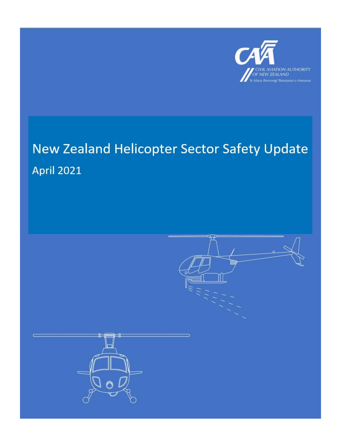

# New Zealand Helicopter Sector Safety Update **April 2021**

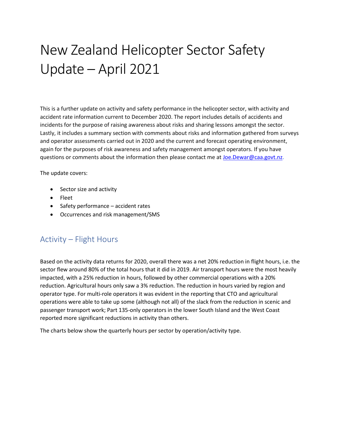## New Zealand Helicopter Sector Safety Update – April 2021

This is a further update on activity and safety performance in the helicopter sector, with activity and accident rate information current to December 2020. The report includes details of accidents and incidents for the purpose of raising awareness about risks and sharing lessons amongst the sector. Lastly, it includes a summary section with comments about risks and information gathered from surveys and operator assessments carried out in 2020 and the current and forecast operating environment, again for the purposes of risk awareness and safety management amongst operators. If you have questions or comments about the information then please contact me at [Joe.Dewar@caa.govt.nz.](mailto:Joe.Dewar@caa.govt.nz)

The update covers:

- Sector size and activity
- Fleet
- Safety performance accident rates
- Occurrences and risk management/SMS

### Activity – Flight Hours

Based on the activity data returns for 2020, overall there was a net 20% reduction in flight hours, i.e. the sector flew around 80% of the total hours that it did in 2019. Air transport hours were the most heavily impacted, with a 25% reduction in hours, followed by other commercial operations with a 20% reduction. Agricultural hours only saw a 3% reduction. The reduction in hours varied by region and operator type. For multi-role operators it was evident in the reporting that CTO and agricultural operations were able to take up some (although not all) of the slack from the reduction in scenic and passenger transport work; Part 135-only operators in the lower South Island and the West Coast reported more significant reductions in activity than others.

The charts below show the quarterly hours per sector by operation/activity type.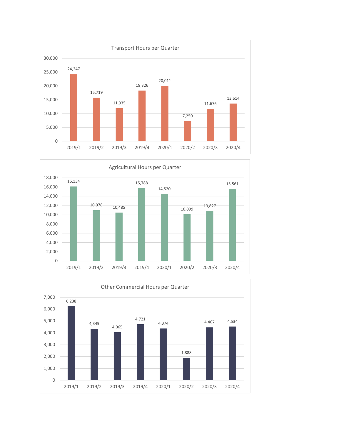



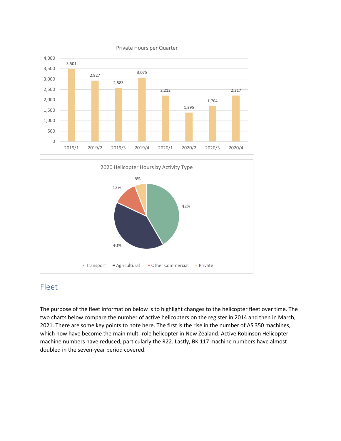

 $\blacksquare$  Transport  $\blacksquare$  Agricultural  $\blacksquare$  Other Commercial  $\blacksquare$  Private

40%

## Fleet

The purpose of the fleet information below is to highlight changes to the helicopter fleet over time. The two charts below compare the number of active helicopters on the register in 2014 and then in March, 2021. There are some key points to note here. The first is the rise in the number of AS 350 machines, which now have become the main multi-role helicopter in New Zealand. Active Robinson Helicopter machine numbers have reduced, particularly the R22. Lastly, BK 117 machine numbers have almost doubled in the seven-year period covered.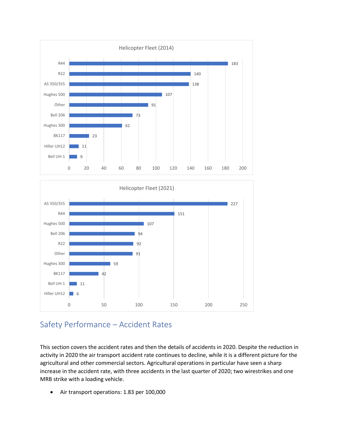



## Safety Performance – Accident Rates

This section covers the accident rates and then the details of accidents in 2020. Despite the reduction in activity in 2020 the air transport accident rate continues to decline, while it is a different picture for the agricultural and other commercial sectors. Agricultural operations in particular have seen a sharp increase in the accident rate, with three accidents in the last quarter of 2020; two wirestrikes and one MRB strike with a loading vehicle.

• Air transport operations: 1.83 per 100,000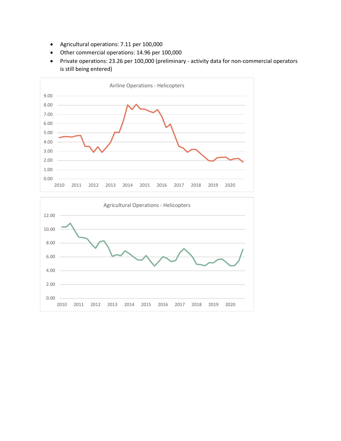- Agricultural operations: 7.11 per 100,000
- Other commercial operations: 14.96 per 100,000
- Private operations: 23.26 per 100,000 (preliminary activity data for non-commercial operators is still being entered)



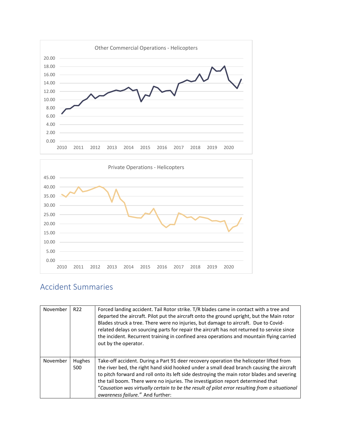



## Accident Summaries

| November | R <sub>22</sub> | Forced landing accident. Tail Rotor strike. T/R blades came in contact with a tree and<br>departed the aircraft. Pilot put the aircraft onto the ground upright, but the Main rotor<br>Blades struck a tree. There were no injuries, but damage to aircraft. Due to Covid-<br>related delays on sourcing parts for repair the aircraft has not returned to service since<br>the incident. Recurrent training in confined area operations and mountain flying carried<br>out by the operator.             |
|----------|-----------------|----------------------------------------------------------------------------------------------------------------------------------------------------------------------------------------------------------------------------------------------------------------------------------------------------------------------------------------------------------------------------------------------------------------------------------------------------------------------------------------------------------|
| November | Hughes<br>500   | Take-off accident. During a Part 91 deer recovery operation the helicopter lifted from<br>the river bed, the right hand skid hooked under a small dead branch causing the aircraft<br>to pitch forward and roll onto its left side destroying the main rotor blades and severing<br>the tail boom. There were no injuries. The investigation report determined that<br>"Causation was virtually certain to be the result of pilot error resulting from a situational<br>awareness failure." And further: |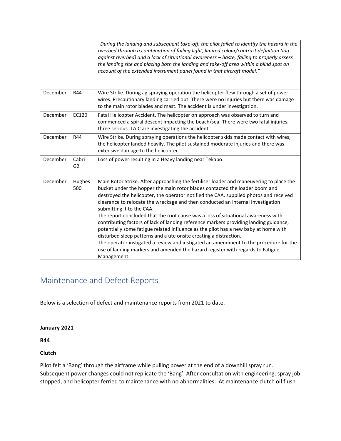|          |                         | "During the landing and subsequent take-off, the pilot failed to identify the hazard in the<br>riverbed through a combination of failing light, limited colour/contrast definition (log<br>against riverbed) and a lack of situational awareness - haste, failing to properly assess<br>the landing site and placing both the landing and take-off area within a blind spot on<br>account of the extended instrument panel found in that aircraft model."                                                                                                                                                                                                                                                                                                                                                                                                                                                           |
|----------|-------------------------|---------------------------------------------------------------------------------------------------------------------------------------------------------------------------------------------------------------------------------------------------------------------------------------------------------------------------------------------------------------------------------------------------------------------------------------------------------------------------------------------------------------------------------------------------------------------------------------------------------------------------------------------------------------------------------------------------------------------------------------------------------------------------------------------------------------------------------------------------------------------------------------------------------------------|
| December | R44                     | Wire Strike. During ag spraying operation the helicopter flew through a set of power<br>wires. Precautionary landing carried out. There were no injuries but there was damage<br>to the main rotor blades and mast. The accident is under investigation.                                                                                                                                                                                                                                                                                                                                                                                                                                                                                                                                                                                                                                                            |
| December | EC120                   | Fatal Helicopter Accident. The helicopter on approach was observed to turn and<br>commenced a spiral descent impacting the beach/sea. There were two fatal injuries,<br>three serious. TAIC are investigating the accident.                                                                                                                                                                                                                                                                                                                                                                                                                                                                                                                                                                                                                                                                                         |
| December | R44                     | Wire Strike. During spraying operations the helicopter skids made contact with wires,<br>the helicopter landed heavily. The pilot sustained moderate injuries and there was<br>extensive damage to the helicopter.                                                                                                                                                                                                                                                                                                                                                                                                                                                                                                                                                                                                                                                                                                  |
| December | Cabri<br>G <sub>2</sub> | Loss of power resulting in a Heavy landing near Tekapo.                                                                                                                                                                                                                                                                                                                                                                                                                                                                                                                                                                                                                                                                                                                                                                                                                                                             |
| December | Hughes<br>500           | Main Rotor Strike. After approaching the fertiliser loader and maneuvering to place the<br>bucket under the hopper the main rotor blades contacted the loader boom and<br>destroyed the helicopter, the operator notified the CAA, supplied photos and received<br>clearance to relocate the wreckage and then conducted an internal investigation<br>submitting it to the CAA.<br>The report concluded that the root cause was a loss of situational awareness with<br>contributing factors of lack of landing reference markers providing landing guidance,<br>potentially some fatigue related influence as the pilot has a new baby at home with<br>disturbed sleep patterns and a ute onsite creating a distraction.<br>The operator instigated a review and instigated an amendment to the procedure for the<br>use of landing markers and amended the hazard register with regards to Fatigue<br>Management. |

## Maintenance and Defect Reports

Below is a selection of defect and maintenance reports from 2021 to date.

#### **January 2021**

**R44**

#### **Clutch**

Pilot felt a 'Bang' through the airframe while pulling power at the end of a downhill spray run. Subsequent power changes could not replicate the 'Bang'. After consultation with engineering, spray job stopped, and helicopter ferried to maintenance with no abnormalities. At maintenance clutch oil flush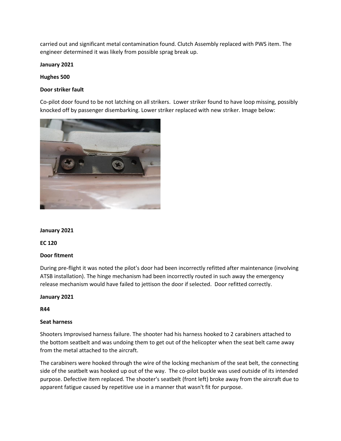carried out and significant metal contamination found. Clutch Assembly replaced with PWS item. The engineer determined it was likely from possible sprag break up.

**January 2021**

**Hughes 500**

#### **Door striker fault**

Co-pilot door found to be not latching on all strikers. Lower striker found to have loop missing, possibly knocked off by passenger disembarking. Lower striker replaced with new striker. Image below:



#### **January 2021**

**EC 120**

#### **Door fitment**

During pre-flight it was noted the pilot's door had been incorrectly refitted after maintenance (involving ATSB installation). The hinge mechanism had been incorrectly routed in such away the emergency release mechanism would have failed to jettison the door if selected. Door refitted correctly.

**January 2021**

**R44**

#### **Seat harness**

Shooters Improvised harness failure. The shooter had his harness hooked to 2 carabiners attached to the bottom seatbelt and was undoing them to get out of the helicopter when the seat belt came away from the metal attached to the aircraft.

The carabiners were hooked through the wire of the locking mechanism of the seat belt, the connecting side of the seatbelt was hooked up out of the way. The co-pilot buckle was used outside of its intended purpose. Defective item replaced. The shooter's seatbelt (front left) broke away from the aircraft due to apparent fatigue caused by repetitive use in a manner that wasn't fit for purpose.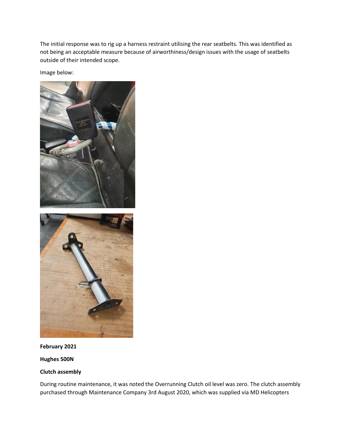The initial response was to rig up a harness restraint utilising the rear seatbelts. This was identified as not being an acceptable measure because of airworthiness/design issues with the usage of seatbelts outside of their intended scope.

Image below:



#### **February 2021**

**Hughes 500N**

#### **Clutch assembly**

During routine maintenance, it was noted the Overrunning Clutch oil level was zero. The clutch assembly purchased through Maintenance Company 3rd August 2020, which was supplied via MD Helicopters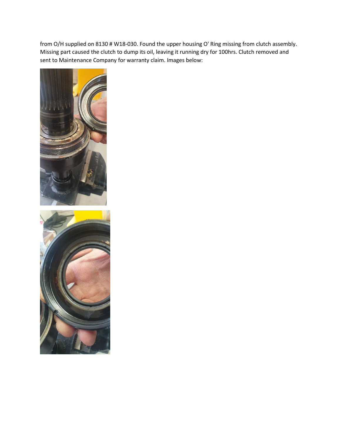from O/H supplied on 8130 # W18-030. Found the upper housing O' Ring missing from clutch assembly. Missing part caused the clutch to dump its oil, leaving it running dry for 100hrs. Clutch removed and sent to Maintenance Company for warranty claim. Images below:

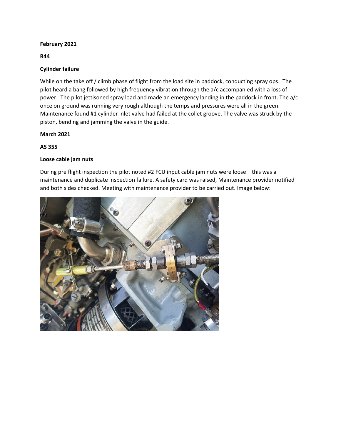#### **February 2021**

**R44**

#### **Cylinder failure**

While on the take off / climb phase of flight from the load site in paddock, conducting spray ops. The pilot heard a bang followed by high frequency vibration through the a/c accompanied with a loss of power. The pilot jettisoned spray load and made an emergency landing in the paddock in front. The a/c once on ground was running very rough although the temps and pressures were all in the green. Maintenance found #1 cylinder inlet valve had failed at the collet groove. The valve was struck by the piston, bending and jamming the valve in the guide.

#### **March 2021**

#### **AS 355**

#### **Loose cable jam nuts**

During pre flight inspection the pilot noted #2 FCU input cable jam nuts were loose – this was a maintenance and duplicate inspection failure. A safety card was raised, Maintenance provider notified and both sides checked. Meeting with maintenance provider to be carried out. Image below:

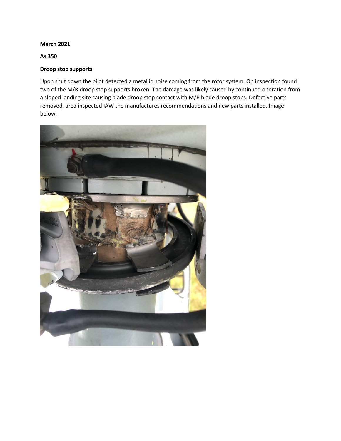**March 2021**

**As 350**

#### **Droop stop supports**

Upon shut down the pilot detected a metallic noise coming from the rotor system. On inspection found two of the M/R droop stop supports broken. The damage was likely caused by continued operation from a sloped landing site causing blade droop stop contact with M/R blade droop stops. Defective parts removed, area inspected IAW the manufactures recommendations and new parts installed. Image below:

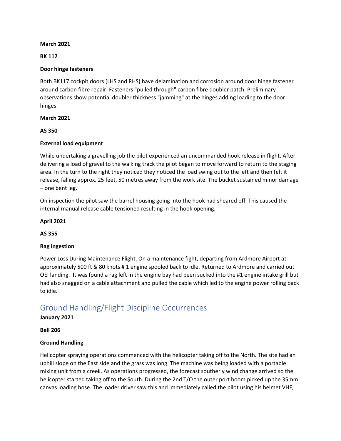#### **March 2021**

#### **BK 117**

#### **Door hinge fasteners**

Both BK117 cockpit doors (LHS and RHS) have delamination and corrosion around door hinge fastener around carbon fibre repair. Fasteners "pulled through" carbon fibre doubler patch. Preliminary observations show potential doubler thickness "jamming" at the hinges adding loading to the door hinges.

#### **March 2021**

**AS 350**

#### **External load equipment**

While undertaking a gravelling job the pilot experienced an uncommanded hook release in flight. After delivering a load of gravel to the walking track the pilot began to move forward to return to the staging area. In the turn to the right they noticed they noticed the load swing out to the left and then felt it release, falling approx. 25 feet, 50 metres away from the work site. The bucket sustained minor damage – one bent leg.

On inspection the pilot saw the barrel housing going into the hook had sheared off. This caused the internal manual release cable tensioned resulting in the hook opening.

#### **April 2021**

**AS 355**

#### **Rag ingestion**

Power Loss During Maintenance Flight. On a maintenance fight, departing from Ardmore Airport at approximately 500 ft & 80 knots # 1 engine spooled back to idle. Returned to Ardmore and carried out OEI landing. It was found a rag left in the engine bay had been sucked into the #1 engine intake grill but had also snagged on a cable attachment and pulled the cable which led to the engine power rolling back to idle.

### Ground Handling/Flight Discipline Occurrences

#### **January 2021**

**Bell 206**

#### **Ground Handling**

Helicopter spraying operations commenced with the helicopter taking off to the North. The site had an uphill slope on the East side and the grass was long. The machine was being loaded with a portable mixing unit from a creek. As operations progressed, the forecast southerly wind change arrived so the helicopter started taking off to the South. During the 2nd T/O the outer port boom picked up the 35mm canvas loading hose. The loader driver saw this and immediately called the pilot using his helmet VHF,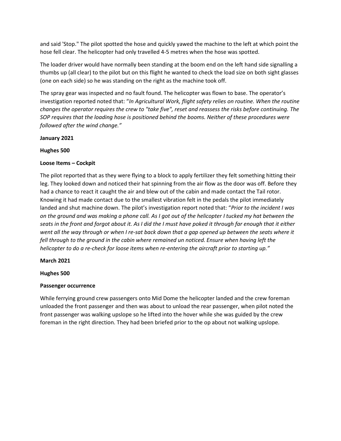and said 'Stop." The pilot spotted the hose and quickly yawed the machine to the left at which point the hose fell clear. The helicopter had only travelled 4-5 metres when the hose was spotted.

The loader driver would have normally been standing at the boom end on the left hand side signalling a thumbs up (all clear) to the pilot but on this flight he wanted to check the load size on both sight glasses (one on each side) so he was standing on the right as the machine took off.

The spray gear was inspected and no fault found. The helicopter was flown to base. The operator's investigation reported noted that: "*In Agricultural Work, flight safety relies on routine. When the routine changes the operator requires the crew to "take five", reset and reassess the risks before continuing. The SOP requires that the loading hose is positioned behind the booms. Neither of these procedures were followed after the wind change."*

**January 2021**

#### **Hughes 500**

#### **Loose Items – Cockpit**

The pilot reported that as they were flying to a block to apply fertilizer they felt something hitting their leg. They looked down and noticed their hat spinning from the air flow as the door was off. Before they had a chance to react it caught the air and blew out of the cabin and made contact the Tail rotor. Knowing it had made contact due to the smallest vibration felt in the pedals the pilot immediately landed and shut machine down. The pilot's investigation report noted that: "*Prior to the incident I was on the ground and was making a phone call. As I got out of the helicopter I tucked my hat between the seats in the front and forgot about it. As I did the I must have poked it through far enough that it either went all the way through or when I re-sat back down that a gap opened up between the seats where it fell through to the ground in the cabin where remained un noticed. Ensure when having left the helicopter to do a re-check for loose items when re-entering the aircraft prior to starting up."*

#### **March 2021**

#### **Hughes 500**

#### **Passenger occurrence**

While ferrying ground crew passengers onto Mid Dome the helicopter landed and the crew foreman unloaded the front passenger and then was about to unload the rear passenger, when pilot noted the front passenger was walking upslope so he lifted into the hover while she was guided by the crew foreman in the right direction. They had been briefed prior to the op about not walking upslope.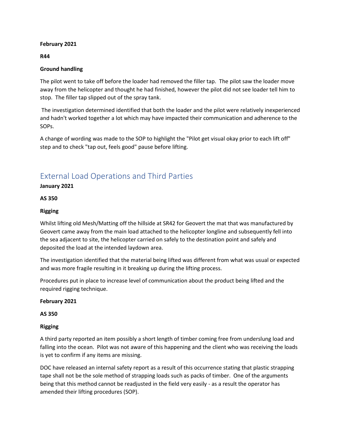#### **February 2021**

**R44**

#### **Ground handling**

The pilot went to take off before the loader had removed the filler tap. The pilot saw the loader move away from the helicopter and thought he had finished, however the pilot did not see loader tell him to stop. The filler tap slipped out of the spray tank.

The investigation determined identified that both the loader and the pilot were relatively inexperienced and hadn't worked together a lot which may have impacted their communication and adherence to the SOPs.

A change of wording was made to the SOP to highlight the "Pilot get visual okay prior to each lift off" step and to check "tap out, feels good" pause before lifting.

## External Load Operations and Third Parties

**January 2021**

**AS 350**

#### **Rigging**

Whilst lifting old Mesh/Matting off the hillside at SR42 for Geovert the mat that was manufactured by Geovert came away from the main load attached to the helicopter longline and subsequently fell into the sea adjacent to site, the helicopter carried on safely to the destination point and safely and deposited the load at the intended laydown area.

The investigation identified that the material being lifted was different from what was usual or expected and was more fragile resulting in it breaking up during the lifting process.

Procedures put in place to increase level of communication about the product being lifted and the required rigging technique.

#### **February 2021**

**AS 350**

#### **Rigging**

A third party reported an item possibly a short length of timber coming free from underslung load and falling into the ocean. Pilot was not aware of this happening and the client who was receiving the loads is yet to confirm if any items are missing.

DOC have released an internal safety report as a result of this occurrence stating that plastic strapping tape shall not be the sole method of strapping loads such as packs of timber. One of the arguments being that this method cannot be readjusted in the field very easily - as a result the operator has amended their lifting procedures (SOP).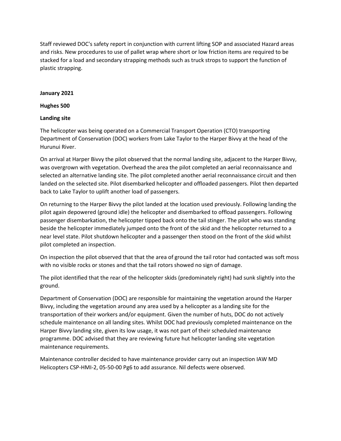Staff reviewed DOC's safety report in conjunction with current lifting SOP and associated Hazard areas and risks. New procedures to use of pallet wrap where short or low friction items are required to be stacked for a load and secondary strapping methods such as truck strops to support the function of plastic strapping.

#### **January 2021**

**Hughes 500**

#### **Landing site**

The helicopter was being operated on a Commercial Transport Operation (CTO) transporting Department of Conservation (DOC) workers from Lake Taylor to the Harper Bivvy at the head of the Hurunui River.

On arrival at Harper Bivvy the pilot observed that the normal landing site, adjacent to the Harper Bivvy, was overgrown with vegetation. Overhead the area the pilot completed an aerial reconnaissance and selected an alternative landing site. The pilot completed another aerial reconnaissance circuit and then landed on the selected site. Pilot disembarked helicopter and offloaded passengers. Pilot then departed back to Lake Taylor to uplift another load of passengers.

On returning to the Harper Bivvy the pilot landed at the location used previously. Following landing the pilot again depowered (ground idle) the helicopter and disembarked to offload passengers. Following passenger disembarkation, the helicopter tipped back onto the tail stinger. The pilot who was standing beside the helicopter immediately jumped onto the front of the skid and the helicopter returned to a near level state. Pilot shutdown helicopter and a passenger then stood on the front of the skid whilst pilot completed an inspection.

On inspection the pilot observed that that the area of ground the tail rotor had contacted was soft moss with no visible rocks or stones and that the tail rotors showed no sign of damage.

The pilot identified that the rear of the helicopter skids (predominately right) had sunk slightly into the ground.

Department of Conservation (DOC) are responsible for maintaining the vegetation around the Harper Bivvy, including the vegetation around any area used by a helicopter as a landing site for the transportation of their workers and/or equipment. Given the number of huts, DOC do not actively schedule maintenance on all landing sites. Whilst DOC had previously completed maintenance on the Harper Bivvy landing site, given its low usage, it was not part of their scheduled maintenance programme. DOC advised that they are reviewing future hut helicopter landing site vegetation maintenance requirements.

Maintenance controller decided to have maintenance provider carry out an inspection IAW MD Helicopters CSP-HMI-2, 05-50-00 Pg6 to add assurance. Nil defects were observed.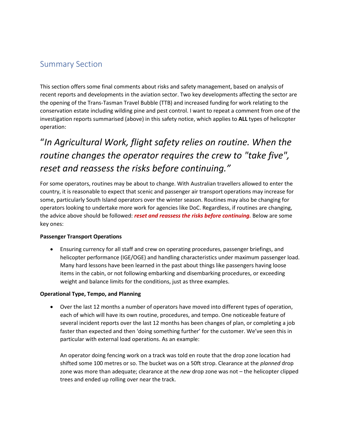## Summary Section

This section offers some final comments about risks and safety management, based on analysis of recent reports and developments in the aviation sector. Two key developments affecting the sector are the opening of the Trans-Tasman Travel Bubble (TTB) and increased funding for work relating to the conservation estate including wilding pine and pest control. I want to repeat a comment from one of the investigation reports summarised (above) in this safety notice, which applies to **ALL** types of helicopter operation:

## "*In Agricultural Work, flight safety relies on routine. When the routine changes the operator requires the crew to "take five", reset and reassess the risks before continuing."*

For some operators, routines may be about to change. With Australian travellers allowed to enter the country, it is reasonable to expect that scenic and passenger air transport operations may increase for some, particularly South Island operators over the winter season. Routines may also be changing for operators looking to undertake more work for agencies like DoC. Regardless, if routines are changing, the advice above should be followed: *reset and reassess the risks before continuing.* Below are some key ones:

#### **Passenger Transport Operations**

• Ensuring currency for all staff and crew on operating procedures, passenger briefings, and helicopter performance (IGE/OGE) and handling characteristics under maximum passenger load. Many hard lessons have been learned in the past about things like passengers having loose items in the cabin, or not following embarking and disembarking procedures, or exceeding weight and balance limits for the conditions, just as three examples.

#### **Operational Type, Tempo, and Planning**

• Over the last 12 months a number of operators have moved into different types of operation, each of which will have its own routine, procedures, and tempo. One noticeable feature of several incident reports over the last 12 months has been changes of plan, or completing a job faster than expected and then 'doing something further' for the customer. We've seen this in particular with external load operations. As an example:

An operator doing fencing work on a track was told en route that the drop zone location had shifted some 100 metres or so. The bucket was on a 50ft strop. Clearance at the *planned* drop zone was more than adequate; clearance at the *new* drop zone was not – the helicopter clipped trees and ended up rolling over near the track.